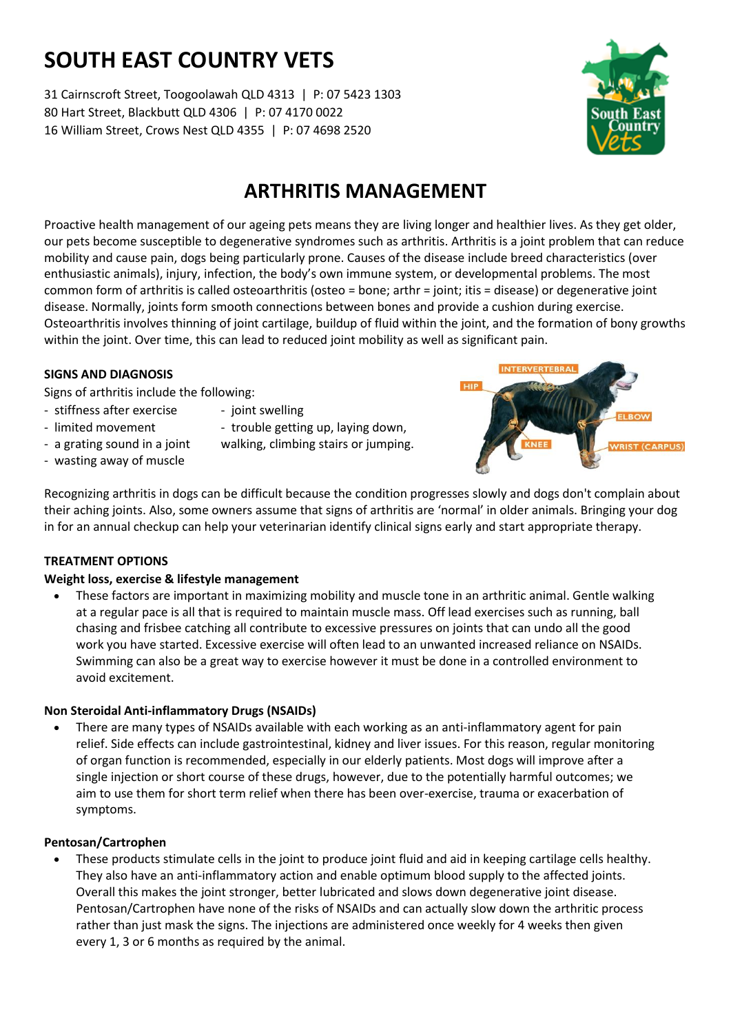# **SOUTH EAST COUNTRY VETS**

31 Cairnscroft Street, Toogoolawah QLD 4313 | P: 07 5423 1303 80 Hart Street, Blackbutt QLD 4306 | P: 07 4170 0022 16 William Street, Crows Nest QLD 4355 | P: 07 4698 2520



# **ARTHRITIS MANAGEMENT**

Proactive health management of our ageing pets means they are living longer and healthier lives. As they get older, our pets become susceptible to degenerative syndromes such as arthritis. Arthritis is a joint problem that can reduce mobility and cause pain, dogs being particularly prone. Causes of the disease include breed characteristics (over enthusiastic animals), injury, infection, the body's own immune system, or developmental problems. The most common form of arthritis is called osteoarthritis (osteo = bone; arthr = joint; itis = disease) or degenerative joint disease. Normally, joints form smooth connections between bones and provide a cushion during exercise. Osteoarthritis involves thinning of joint cartilage, buildup of fluid within the joint, and the formation of bony growths within the joint. Over time, this can lead to reduced joint mobility as well as significant pain.

#### **SIGNS AND DIAGNOSIS**

Signs of arthritis include the following:

- stiffness after exercise joint swelling
- limited movement trouble getting up, laying down,
- -
- wasting away of muscle
- a grating sound in a joint walking, climbing stairs or jumping.



# **TREATMENT OPTIONS**

# **Weight loss, exercise & lifestyle management**

• These factors are important in maximizing mobility and muscle tone in an arthritic animal. Gentle walking at a regular pace is all that is required to maintain muscle mass. Off lead exercises such as running, ball chasing and frisbee catching all contribute to excessive pressures on joints that can undo all the good work you have started. Excessive exercise will often lead to an unwanted increased reliance on NSAIDs. Swimming can also be a great way to exercise however it must be done in a controlled environment to avoid excitement.

# **Non Steroidal Anti-inflammatory Drugs (NSAIDs)**

• There are many types of NSAIDs available with each working as an anti-inflammatory agent for pain relief. Side effects can include gastrointestinal, kidney and liver issues. For this reason, regular monitoring of organ function is recommended, especially in our elderly patients. Most dogs will improve after a single injection or short course of these drugs, however, due to the potentially harmful outcomes; we aim to use them for short term relief when there has been over-exercise, trauma or exacerbation of symptoms.

#### **Pentosan/Cartrophen**

• These products stimulate cells in the joint to produce joint fluid and aid in keeping cartilage cells healthy. They also have an anti-inflammatory action and enable optimum blood supply to the affected joints. Overall this makes the joint stronger, better lubricated and slows down degenerative joint disease. Pentosan/Cartrophen have none of the risks of NSAIDs and can actually slow down the arthritic process rather than just mask the signs. The injections are administered once weekly for 4 weeks then given every 1, 3 or 6 months as required by the animal.